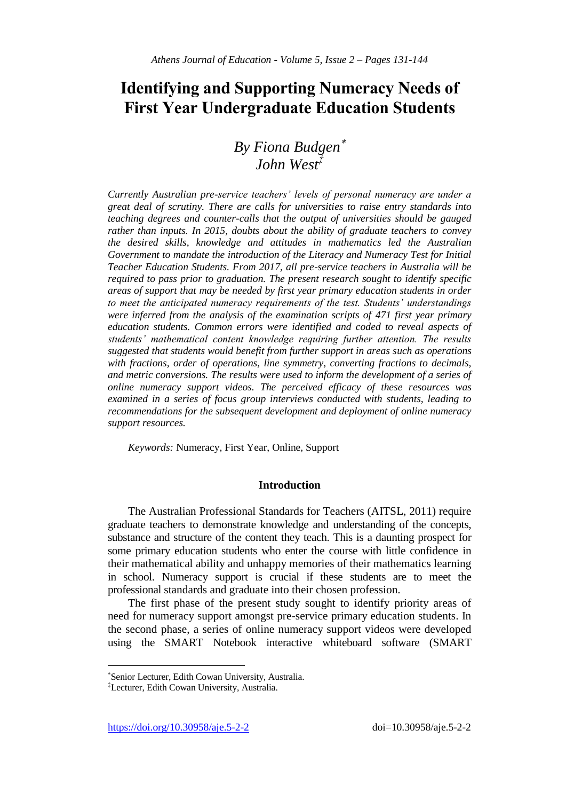# **Identifying and Supporting Numeracy Needs of First Year Undergraduate Education Students**

# *By Fiona Budgen John West‡*

*Currently Australian pre-service teachers' levels of personal numeracy are under a great deal of scrutiny. There are calls for universities to raise entry standards into teaching degrees and counter-calls that the output of universities should be gauged rather than inputs. In 2015, doubts about the ability of graduate teachers to convey the desired skills, knowledge and attitudes in mathematics led the Australian Government to mandate the introduction of the Literacy and Numeracy Test for Initial Teacher Education Students. From 2017, all pre-service teachers in Australia will be required to pass prior to graduation. The present research sought to identify specific areas of support that may be needed by first year primary education students in order to meet the anticipated numeracy requirements of the test. Students' understandings were inferred from the analysis of the examination scripts of 471 first year primary education students. Common errors were identified and coded to reveal aspects of students' mathematical content knowledge requiring further attention. The results suggested that students would benefit from further support in areas such as operations with fractions, order of operations, line symmetry, converting fractions to decimals, and metric conversions. The results were used to inform the development of a series of online numeracy support videos. The perceived efficacy of these resources was examined in a series of focus group interviews conducted with students, leading to recommendations for the subsequent development and deployment of online numeracy support resources.*

*Keywords:* Numeracy, First Year, Online, Support

## **Introduction**

The Australian Professional Standards for Teachers (AITSL, 2011) require graduate teachers to demonstrate knowledge and understanding of the concepts, substance and structure of the content they teach. This is a daunting prospect for some primary education students who enter the course with little confidence in their mathematical ability and unhappy memories of their mathematics learning in school. Numeracy support is crucial if these students are to meet the professional standards and graduate into their chosen profession.

The first phase of the present study sought to identify priority areas of need for numeracy support amongst pre-service primary education students. In the second phase, a series of online numeracy support videos were developed using the SMART Notebook interactive whiteboard software (SMART

https://doi.org/10.30958/aje.5-2-2 doi=10.30958/aje.5-2-2

 $\overline{a}$ 

Senior Lecturer, Edith Cowan University, Australia.

<sup>‡</sup>Lecturer, Edith Cowan University, Australia.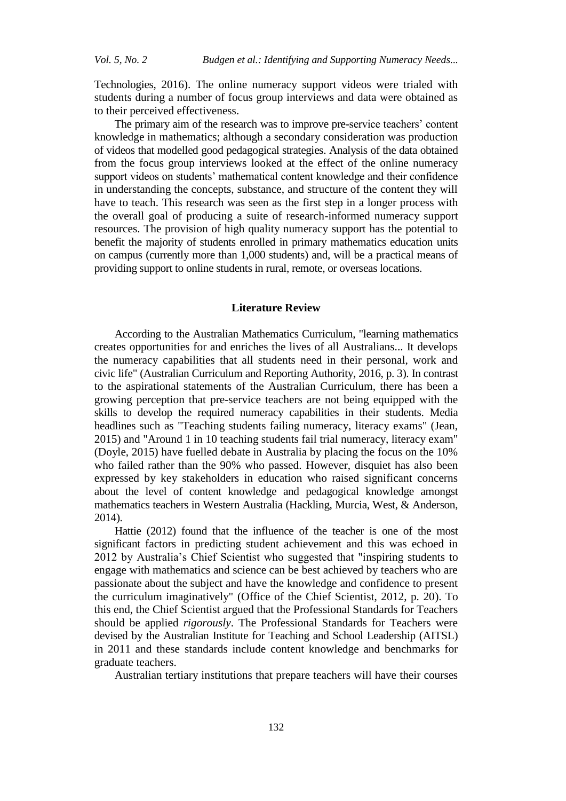Technologies, 2016). The online numeracy support videos were trialed with students during a number of focus group interviews and data were obtained as to their perceived effectiveness.

The primary aim of the research was to improve pre-service teachers' content knowledge in mathematics; although a secondary consideration was production of videos that modelled good pedagogical strategies. Analysis of the data obtained from the focus group interviews looked at the effect of the online numeracy support videos on students' mathematical content knowledge and their confidence in understanding the concepts, substance, and structure of the content they will have to teach. This research was seen as the first step in a longer process with the overall goal of producing a suite of research-informed numeracy support resources. The provision of high quality numeracy support has the potential to benefit the majority of students enrolled in primary mathematics education units on campus (currently more than 1,000 students) and, will be a practical means of providing support to online students in rural, remote, or overseas locations.

# **Literature Review**

According to the Australian Mathematics Curriculum, "learning mathematics creates opportunities for and enriches the lives of all Australians... It develops the numeracy capabilities that all students need in their personal, work and civic life" [\(Australian Curriculum and Reporting Authority, 2016, p. 3\)](#page-13-0). In contrast to the aspirational statements of the Australian Curriculum, there has been a growing perception that pre-service teachers are not being equipped with the skills to develop the required numeracy capabilities in their students. Media headlines such as "Teaching students failing numeracy, literacy exams" (Jean, 2015) and "Around 1 in 10 teaching students fail trial numeracy, literacy exam" (Doyle, 2015) have fuelled debate in Australia by placing the focus on the 10% who failed rather than the 90% who passed. However, disquiet has also been expressed by key stakeholders in education who raised significant concerns about the level of content knowledge and pedagogical knowledge amongst mathematics teachers in Western Australia [\(Hackling, Murcia, West, & Anderson,](#page-13-1)  [2014](#page-13-1)).

Hattie [\(2012\)](#page-13-2) found that the influence of the teacher is one of the most significant factors in predicting student achievement and this was echoed in 2012 by Australia's Chief Scientist who suggested that "inspiring students to engage with mathematics and science can be best achieved by teachers who are passionate about the subject and have the knowledge and confidence to present the curriculum imaginatively" [\(Office of the Chief Scientist, 2012, p. 20\)](#page-13-3). To this end, the Chief Scientist argued that the Professional Standards for Teachers should be applied *rigorously*. The Professional Standards for Teachers were devised by the Australian Institute for Teaching and School Leadership (AITSL) in 2011 and these standards include content knowledge and benchmarks for graduate teachers.

Australian tertiary institutions that prepare teachers will have their courses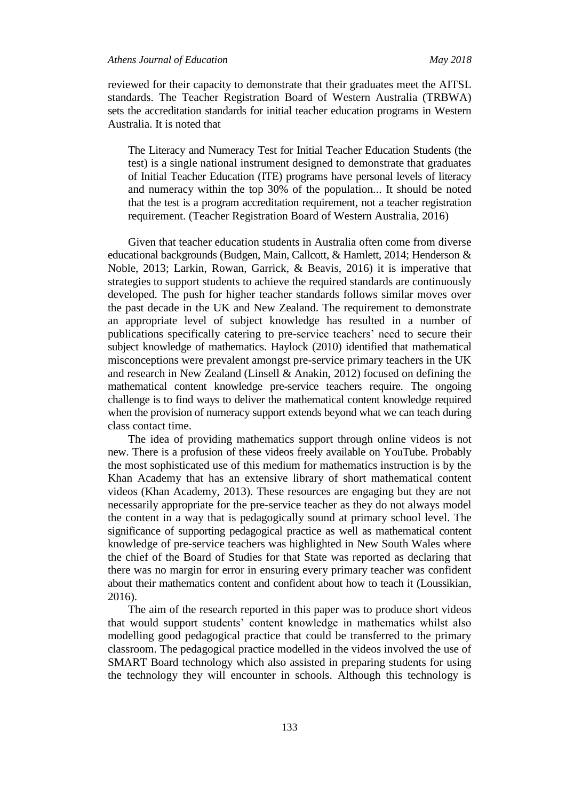reviewed for their capacity to demonstrate that their graduates meet the AITSL standards. The Teacher Registration Board of Western Australia (TRBWA) sets the accreditation standards for initial teacher education programs in Western Australia. It is noted that

The Literacy and Numeracy Test for Initial Teacher Education Students (the test) is a single national instrument designed to demonstrate that graduates of Initial Teacher Education (ITE) programs have personal levels of literacy and numeracy within the top 30% of the population... It should be noted that the test is a program accreditation requirement, not a teacher registration requirement. (Teacher Registration Board of Western Australia, 2016)

Given that teacher education students in Australia often come from diverse educational backgrounds (Budgen, Main, Callcott, & Hamlett, 2014; Henderson & Noble, 2013; Larkin, Rowan, Garrick, & Beavis, 2016) it is imperative that strategies to support students to achieve the required standards are continuously developed. The push for higher teacher standards follows similar moves over the past decade in the UK and New Zealand. The requirement to demonstrate an appropriate level of subject knowledge has resulted in a number of publications specifically catering to pre-service teachers' need to secure their subject knowledge of mathematics. Haylock (2010) identified that mathematical misconceptions were prevalent amongst pre-service primary teachers in the UK and research in New Zealand (Linsell & Anakin, 2012) focused on defining the mathematical content knowledge pre-service teachers require. The ongoing challenge is to find ways to deliver the mathematical content knowledge required when the provision of numeracy support extends beyond what we can teach during class contact time.

The idea of providing mathematics support through online videos is not new. There is a profusion of these videos freely available on YouTube. Probably the most sophisticated use of this medium for mathematics instruction is by the Khan Academy that has an extensive library of short mathematical content videos (Khan Academy, 2013). These resources are engaging but they are not necessarily appropriate for the pre-service teacher as they do not always model the content in a way that is pedagogically sound at primary school level. The significance of supporting pedagogical practice as well as mathematical content knowledge of pre-service teachers was highlighted in New South Wales where the chief of the Board of Studies for that State was reported as declaring that there was no margin for error in ensuring every primary teacher was confident about their mathematics content and confident about how to teach it (Loussikian, 2016).

The aim of the research reported in this paper was to produce short videos that would support students' content knowledge in mathematics whilst also modelling good pedagogical practice that could be transferred to the primary classroom. The pedagogical practice modelled in the videos involved the use of SMART Board technology which also assisted in preparing students for using the technology they will encounter in schools. Although this technology is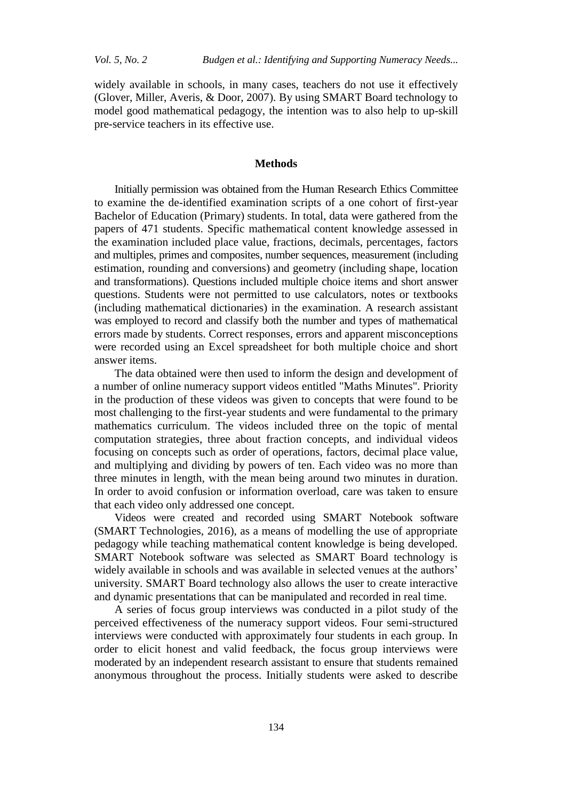widely available in schools, in many cases, teachers do not use it effectively (Glover, Miller, Averis, & Door, 2007). By using SMART Board technology to model good mathematical pedagogy, the intention was to also help to up-skill pre-service teachers in its effective use.

# **Methods**

Initially permission was obtained from the Human Research Ethics Committee to examine the de-identified examination scripts of a one cohort of first-year Bachelor of Education (Primary) students. In total, data were gathered from the papers of 471 students. Specific mathematical content knowledge assessed in the examination included place value, fractions, decimals, percentages, factors and multiples, primes and composites, number sequences, measurement (including estimation, rounding and conversions) and geometry (including shape, location and transformations). Questions included multiple choice items and short answer questions. Students were not permitted to use calculators, notes or textbooks (including mathematical dictionaries) in the examination. A research assistant was employed to record and classify both the number and types of mathematical errors made by students. Correct responses, errors and apparent misconceptions were recorded using an Excel spreadsheet for both multiple choice and short answer items.

The data obtained were then used to inform the design and development of a number of online numeracy support videos entitled "Maths Minutes". Priority in the production of these videos was given to concepts that were found to be most challenging to the first-year students and were fundamental to the primary mathematics curriculum. The videos included three on the topic of mental computation strategies, three about fraction concepts, and individual videos focusing on concepts such as order of operations, factors, decimal place value, and multiplying and dividing by powers of ten. Each video was no more than three minutes in length, with the mean being around two minutes in duration. In order to avoid confusion or information overload, care was taken to ensure that each video only addressed one concept.

Videos were created and recorded using SMART Notebook software (SMART Technologies, 2016), as a means of modelling the use of appropriate pedagogy while teaching mathematical content knowledge is being developed. SMART Notebook software was selected as SMART Board technology is widely available in schools and was available in selected venues at the authors' university. SMART Board technology also allows the user to create interactive and dynamic presentations that can be manipulated and recorded in real time.

A series of focus group interviews was conducted in a pilot study of the perceived effectiveness of the numeracy support videos. Four semi-structured interviews were conducted with approximately four students in each group. In order to elicit honest and valid feedback, the focus group interviews were moderated by an independent research assistant to ensure that students remained anonymous throughout the process. Initially students were asked to describe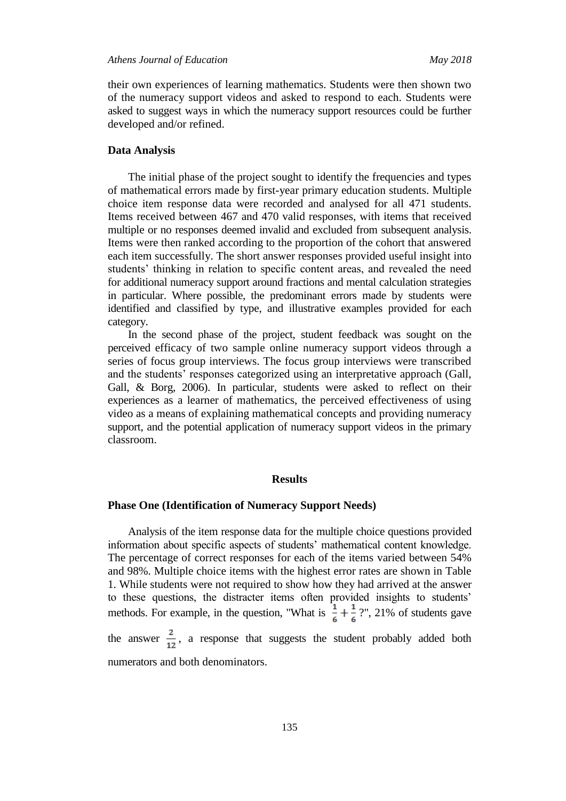their own experiences of learning mathematics. Students were then shown two of the numeracy support videos and asked to respond to each. Students were asked to suggest ways in which the numeracy support resources could be further developed and/or refined.

# **Data Analysis**

The initial phase of the project sought to identify the frequencies and types of mathematical errors made by first-year primary education students. Multiple choice item response data were recorded and analysed for all 471 students. Items received between 467 and 470 valid responses, with items that received multiple or no responses deemed invalid and excluded from subsequent analysis. Items were then ranked according to the proportion of the cohort that answered each item successfully. The short answer responses provided useful insight into students' thinking in relation to specific content areas, and revealed the need for additional numeracy support around fractions and mental calculation strategies in particular. Where possible, the predominant errors made by students were identified and classified by type, and illustrative examples provided for each category.

In the second phase of the project, student feedback was sought on the perceived efficacy of two sample online numeracy support videos through a series of focus group interviews. The focus group interviews were transcribed and the students' responses categorized using an interpretative approach (Gall, Gall, & Borg, 2006). In particular, students were asked to reflect on their experiences as a learner of mathematics, the perceived effectiveness of using video as a means of explaining mathematical concepts and providing numeracy support, and the potential application of numeracy support videos in the primary classroom.

#### **Results**

## **Phase One (Identification of Numeracy Support Needs)**

Analysis of the item response data for the multiple choice questions provided information about specific aspects of students' mathematical content knowledge. The percentage of correct responses for each of the items varied between 54% and 98%. Multiple choice items with the highest error rates are shown in Table 1. While students were not required to show how they had arrived at the answer to these questions, the distracter items often provided insights to students' methods. For example, in the question, "What is  $\frac{1}{7} + \frac{1}{7}$  ?", 21% of students gave

the answer  $\frac{2}{12}$ , a response that suggests the student probably added both numerators and both denominators.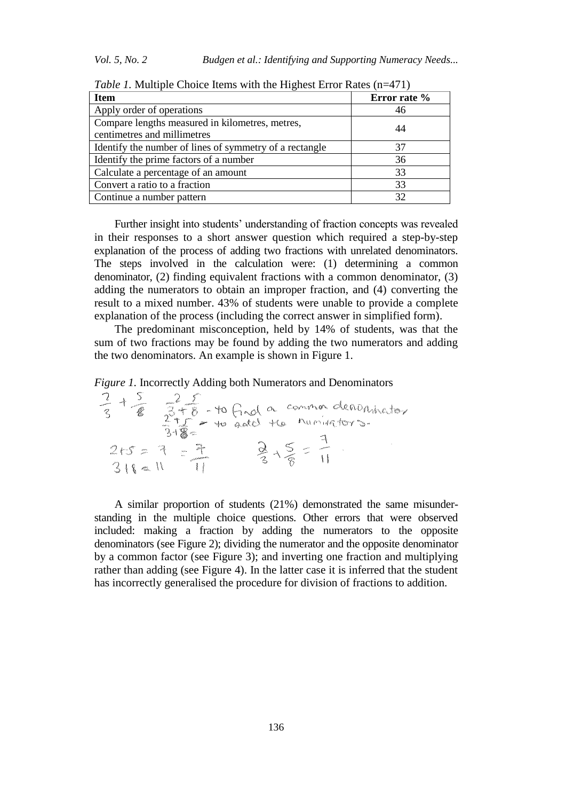| <b>Item</b>                                                                    | Error rate % |
|--------------------------------------------------------------------------------|--------------|
| Apply order of operations                                                      | 46           |
| Compare lengths measured in kilometres, metres,<br>centimetres and millimetres | 44           |
| Identify the number of lines of symmetry of a rectangle                        | 37           |
| Identify the prime factors of a number                                         | 36           |
| Calculate a percentage of an amount                                            | 33           |
| Convert a ratio to a fraction                                                  | 33           |
| Continue a number pattern                                                      | 32           |

*Table 1.* Multiple Choice Items with the Highest Error Rates (n=471)

Further insight into students' understanding of fraction concepts was revealed in their responses to a short answer question which required a step-by-step explanation of the process of adding two fractions with unrelated denominators. The steps involved in the calculation were: (1) determining a common denominator, (2) finding equivalent fractions with a common denominator, (3) adding the numerators to obtain an improper fraction, and (4) converting the result to a mixed number. 43% of students were unable to provide a complete explanation of the process (including the correct answer in simplified form).

The predominant misconception, held by 14% of students, was that the sum of two fractions may be found by adding the two numerators and adding the two denominators. An example is shown in Figure 1.

| Figure 1. Incorrectly Adding both Numerators and Denominators |  |
|---------------------------------------------------------------|--|
|---------------------------------------------------------------|--|

| æ                                           | to<br>a de c<br>$\mathcal{M}_{\mathcal{M}}$<br>gas.<br>Ev.<br><b>Class</b><br>A<br>Kalen.<br>C-SON<br>S<br>$\mathcal{P}_{\text{adv}}^{\text{new}}$ | common denominator<br>to final a common denon |
|---------------------------------------------|----------------------------------------------------------------------------------------------------------------------------------------------------|-----------------------------------------------|
| rden.<br>$\sigma_{\rm{crys}}^{\rm{gr},\pm}$ | $\mu\mu\nu\omega$<br><b>CARAGEMENTS</b>                                                                                                            |                                               |

A similar proportion of students (21%) demonstrated the same misunderstanding in the multiple choice questions. Other errors that were observed included: making a fraction by adding the numerators to the opposite denominators (see Figure 2); dividing the numerator and the opposite denominator by a common factor (see Figure 3); and inverting one fraction and multiplying rather than adding (see Figure 4). In the latter case it is inferred that the student has incorrectly generalised the procedure for division of fractions to addition.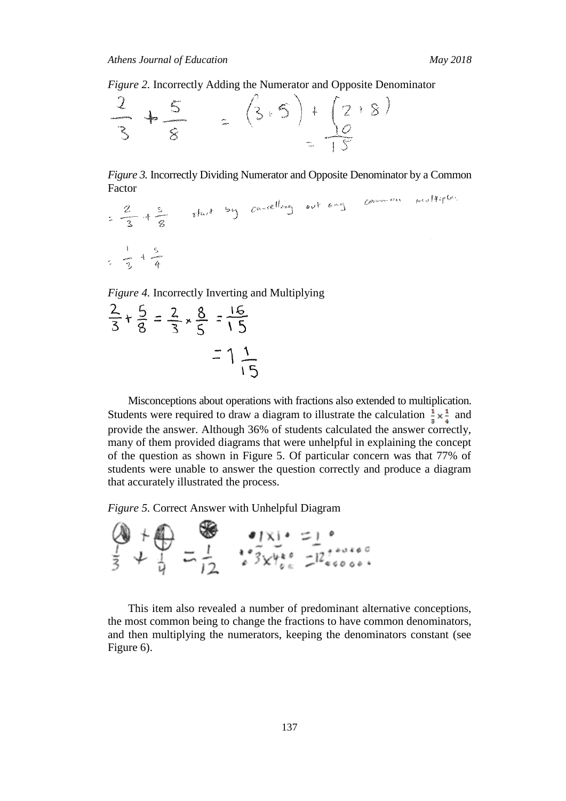*Figure 2.* Incorrectly Adding the Numerator and Opposite Denominator



*Figure 3.* Incorrectly Dividing Numerator and Opposite Denominator by a Common Factor  $1011$ 

$$
=\frac{2}{3}+\frac{5}{8}
$$
  $sin^{2}2$   $tan(2^{2}log)$   $cot^{2}2^{2}$   $cos^{2}2$   $cos^{2}2$   $cos^{2}2$   $cos^{2}2$   $cos^{2}2$   $cos^{2}2$   $cos^{2}2$   $cos^{2}2$   $cos^{2}2$   $cos^{2}2$   $cos^{2}2$   $cos^{2}2$   $cos^{2}2$   $cos^{2}2$   $cos^{2}2$   $cos^{2}2$   $cos^{2}2$   $cos^{2}2$   $cos^{2}2$   $cos^{2}2$   $cos^{2}2$   $cos^{2}2$   $cos^{2}2$   $cos^{2}2$   $cos^{2}2$   $cos^{2}2$   $cos^{2}2$   $cos^{2}2$   $cos^{2}2$   $cos^{2}2$   $cos^{2}2$   $cos^{2}2$   $cos^{2}2$   $cos^{2}2$   $cos^{2}2$   $cos^{2}2$   $cos^{2}2$   $cos^{2}2$   $cos^{2}2$   $cos^{2}2$   $cos^{2}2$   $cos^{2}2$   $cos^{2}2$   $cos^{2}2$   $cos^{2}2$   $cos^{2}2$   $cos^{2}2$   $cos^{2}2$   $cos^{2}2$   $cos^{2}2$   $cos^{2}2$   $cos^{2}2$   $cos^{2}2$   $cos^{2}2$   $cos^{2}2$   $cos^{2}2$   $cos^{2}2$   $cos^{2}2$   $cos^{2}2$   $cos^{2}2$   $cos^{2}2$   $cos^{2}2$   $cos^{2}2$   $cos^{2}2$  

*Figure 4.* Incorrectly Inverting and Multiplying

$$
\frac{2}{3} + \frac{5}{8} = \frac{2}{3} \times \frac{8}{5} = \frac{16}{15}
$$

$$
= 1\frac{1}{15}
$$

Misconceptions about operations with fractions also extended to multiplication. Students were required to draw a diagram to illustrate the calculation  $\frac{1}{3} \times \frac{1}{4}$  and provide the answer. Although 36% of students calculated the answer correctly, many of them provided diagrams that were unhelpful in explaining the concept of the question as shown in Figure 5. Of particular concern was that 77% of students were unable to answer the question correctly and produce a diagram that accurately illustrated the process.

*Figure 5.* Correct Answer with Unhelpful Diagram



This item also revealed a number of predominant alternative conceptions, the most common being to change the fractions to have common denominators, and then multiplying the numerators, keeping the denominators constant (see Figure 6).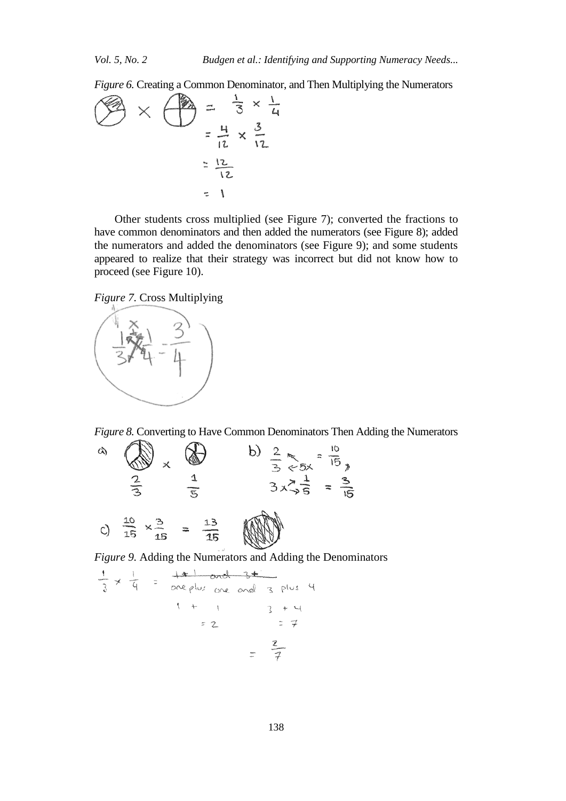*Figure 6.* Creating a Common Denominator, and Then Multiplying the Numerators



Other students cross multiplied (see Figure 7); converted the fractions to have common denominators and then added the numerators (see Figure 8); added the numerators and added the denominators (see Figure 9); and some students appeared to realize that their strategy was incorrect but did not know how to proceed (see Figure 10).





*Figure 8.* Converting to Have Common Denominators Then Adding the Numerators



*Figure 9.* Adding the Numerators and Adding the Denominators

$$
\frac{1}{3} \times \frac{1}{4} = \frac{181 \text{ and } 341}{\text{one plus one and 3 plus 4}}
$$
  
= 2 = 7  
=  $\frac{2}{7}$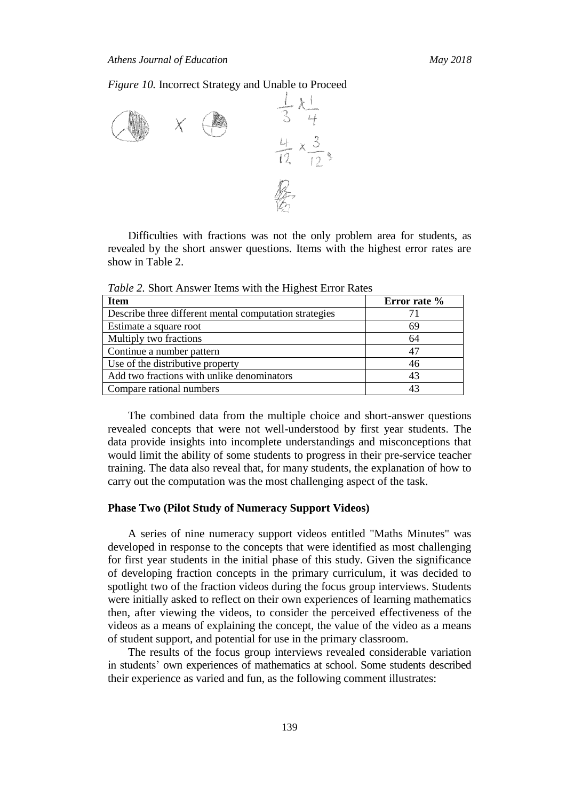*Figure 10.* Incorrect Strategy and Unable to Proceed



Difficulties with fractions was not the only problem area for students, as revealed by the short answer questions. Items with the highest error rates are show in Table 2.

*Table 2.* Short Answer Items with the Highest Error Rates

| <b>Item</b>                                            | Error rate % |
|--------------------------------------------------------|--------------|
| Describe three different mental computation strategies |              |
| Estimate a square root                                 | 69           |
| Multiply two fractions                                 | 64           |
| Continue a number pattern                              | 47           |
| Use of the distributive property                       | 46           |
| Add two fractions with unlike denominators             | 43           |
| Compare rational numbers                               | 43           |

The combined data from the multiple choice and short-answer questions revealed concepts that were not well-understood by first year students. The data provide insights into incomplete understandings and misconceptions that would limit the ability of some students to progress in their pre-service teacher training. The data also reveal that, for many students, the explanation of how to carry out the computation was the most challenging aspect of the task.

#### **Phase Two (Pilot Study of Numeracy Support Videos)**

A series of nine numeracy support videos entitled "Maths Minutes" was developed in response to the concepts that were identified as most challenging for first year students in the initial phase of this study. Given the significance of developing fraction concepts in the primary curriculum, it was decided to spotlight two of the fraction videos during the focus group interviews. Students were initially asked to reflect on their own experiences of learning mathematics then, after viewing the videos, to consider the perceived effectiveness of the videos as a means of explaining the concept, the value of the video as a means of student support, and potential for use in the primary classroom.

The results of the focus group interviews revealed considerable variation in students' own experiences of mathematics at school. Some students described their experience as varied and fun, as the following comment illustrates: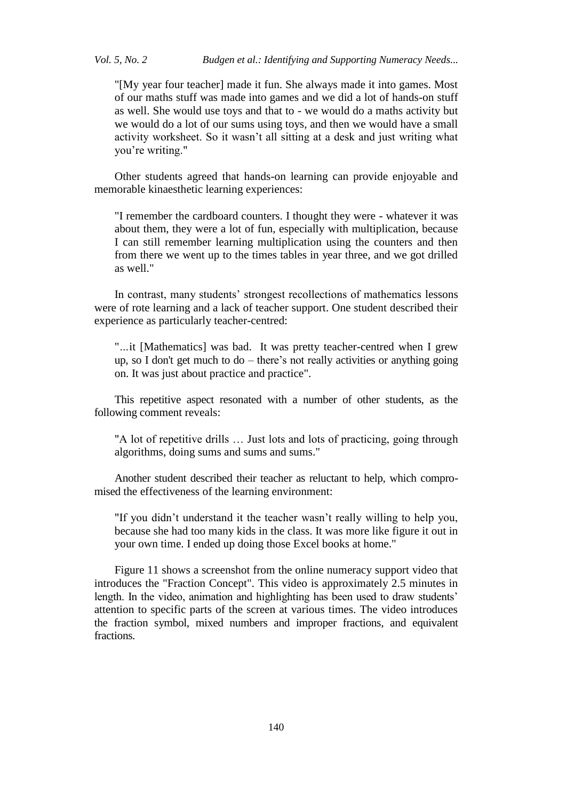"[My year four teacher] made it fun. She always made it into games. Most of our maths stuff was made into games and we did a lot of hands-on stuff as well. She would use toys and that to - we would do a maths activity but we would do a lot of our sums using toys, and then we would have a small activity worksheet. So it wasn't all sitting at a desk and just writing what you're writing."

Other students agreed that hands-on learning can provide enjoyable and memorable kinaesthetic learning experiences:

"I remember the cardboard counters. I thought they were - whatever it was about them, they were a lot of fun, especially with multiplication, because I can still remember learning multiplication using the counters and then from there we went up to the times tables in year three, and we got drilled as well."

In contrast, many students' strongest recollections of mathematics lessons were of rote learning and a lack of teacher support. One student described their experience as particularly teacher-centred:

"*…*it [Mathematics] was bad. It was pretty teacher-centred when I grew up, so I don't get much to do – there's not really activities or anything going on. It was just about practice and practice".

This repetitive aspect resonated with a number of other students, as the following comment reveals:

"A lot of repetitive drills … Just lots and lots of practicing, going through algorithms, doing sums and sums and sums."

Another student described their teacher as reluctant to help, which compromised the effectiveness of the learning environment:

"If you didn't understand it the teacher wasn't really willing to help you, because she had too many kids in the class. It was more like figure it out in your own time. I ended up doing those Excel books at home."

Figure 11 shows a screenshot from the online numeracy support video that introduces the "Fraction Concept". This video is approximately 2.5 minutes in length. In the video, animation and highlighting has been used to draw students' attention to specific parts of the screen at various times. The video introduces the fraction symbol, mixed numbers and improper fractions, and equivalent fractions.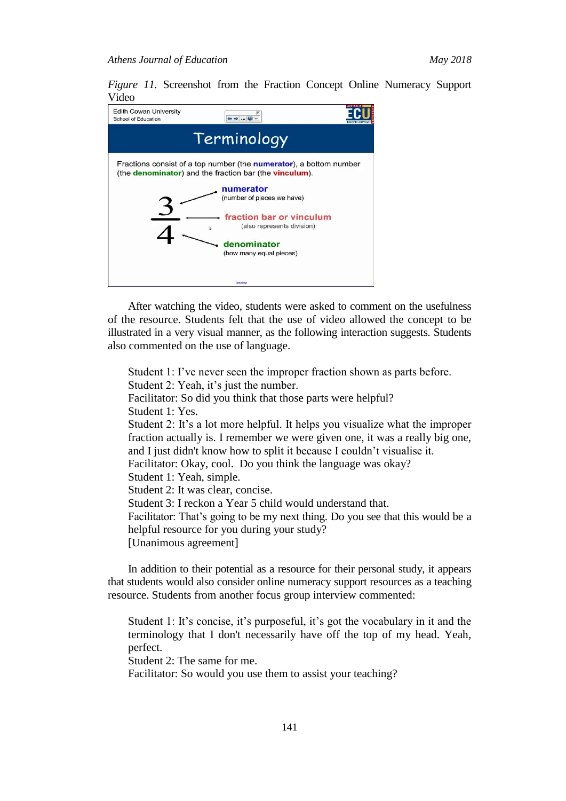*Figure 11.* Screenshot from the Fraction Concept Online Numeracy Support Video

| <b>Edith Cowan University</b><br>School of Education                                                                                                 | 中中…同。                                                                                             |  |  |  |  |
|------------------------------------------------------------------------------------------------------------------------------------------------------|---------------------------------------------------------------------------------------------------|--|--|--|--|
| Terminology                                                                                                                                          |                                                                                                   |  |  |  |  |
| Fractions consist of a top number (the <b>numerator</b> ), a bottom number<br>(the <b>denominator</b> ) and the fraction bar (the <b>vinculum</b> ). |                                                                                                   |  |  |  |  |
|                                                                                                                                                      | numerator<br>(number of pieces we have)<br>fraction bar or vinculum<br>(also represents division) |  |  |  |  |
| denominator<br>(how many equal pieces)                                                                                                               |                                                                                                   |  |  |  |  |
|                                                                                                                                                      | <b>Casca Pass</b>                                                                                 |  |  |  |  |

After watching the video, students were asked to comment on the usefulness of the resource. Students felt that the use of video allowed the concept to be illustrated in a very visual manner, as the following interaction suggests. Students also commented on the use of language.

Student 1: I've never seen the improper fraction shown as parts before. Student 2: Yeah, it's just the number. Facilitator: So did you think that those parts were helpful? Student 1: Yes. Student 2: It's a lot more helpful. It helps you visualize what the improper fraction actually is. I remember we were given one, it was a really big one, and I just didn't know how to split it because I couldn't visualise it. Facilitator: Okay, cool. Do you think the language was okay? Student 1: Yeah, simple. Student 2: It was clear, concise. Student 3: I reckon a Year 5 child would understand that. Facilitator: That's going to be my next thing. Do you see that this would be a helpful resource for you during your study? [Unanimous agreement]

In addition to their potential as a resource for their personal study, it appears that students would also consider online numeracy support resources as a teaching resource. Students from another focus group interview commented:

Student 1: It's concise, it's purposeful, it's got the vocabulary in it and the terminology that I don't necessarily have off the top of my head. Yeah, perfect.

Student 2: The same for me.

Facilitator: So would you use them to assist your teaching?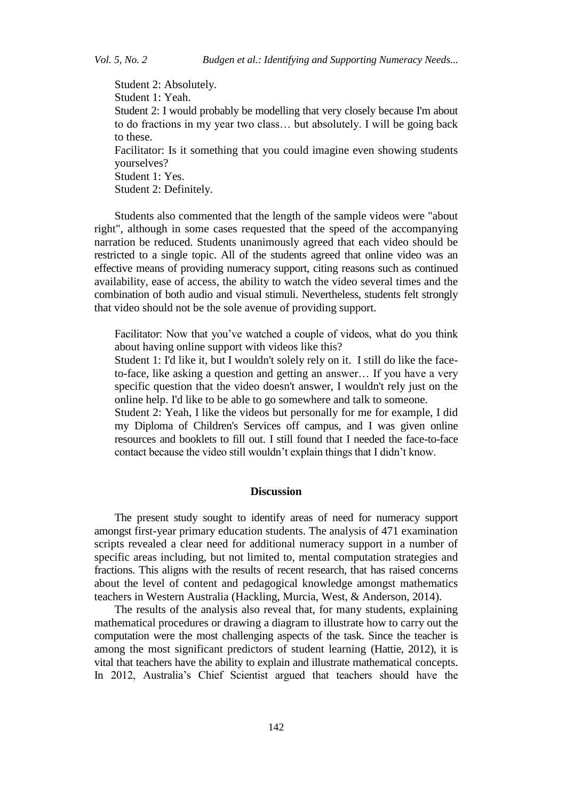Student 2: Absolutely. Student 1: Yeah. Student 2: I would probably be modelling that very closely because I'm about to do fractions in my year two class… but absolutely. I will be going back to these. Facilitator: Is it something that you could imagine even showing students yourselves? Student 1: Yes. Student 2: Definitely.

Students also commented that the length of the sample videos were "about right", although in some cases requested that the speed of the accompanying narration be reduced. Students unanimously agreed that each video should be restricted to a single topic. All of the students agreed that online video was an effective means of providing numeracy support, citing reasons such as continued availability, ease of access, the ability to watch the video several times and the combination of both audio and visual stimuli. Nevertheless, students felt strongly that video should not be the sole avenue of providing support.

Facilitator: Now that you've watched a couple of videos, what do you think about having online support with videos like this?

Student 1: I'd like it, but I wouldn't solely rely on it. I still do like the faceto-face, like asking a question and getting an answer… If you have a very specific question that the video doesn't answer, I wouldn't rely just on the online help. I'd like to be able to go somewhere and talk to someone.

Student 2: Yeah, I like the videos but personally for me for example, I did my Diploma of Children's Services off campus, and I was given online resources and booklets to fill out. I still found that I needed the face-to-face contact because the video still wouldn't explain things that I didn't know.

#### **Discussion**

The present study sought to identify areas of need for numeracy support amongst first-year primary education students. The analysis of 471 examination scripts revealed a clear need for additional numeracy support in a number of specific areas including, but not limited to, mental computation strategies and fractions. This aligns with the results of recent research, that has raised concerns about the level of content and pedagogical knowledge amongst mathematics teachers in Western Australia [\(Hackling, Murcia, West, & Anderson, 2014](#page-13-1)).

The results of the analysis also reveal that, for many students, explaining mathematical procedures or drawing a diagram to illustrate how to carry out the computation were the most challenging aspects of the task. Since the teacher is among the most significant predictors of student learning (Hattie, 2012), it is vital that teachers have the ability to explain and illustrate mathematical concepts. In 2012, Australia's Chief Scientist argued that teachers should have the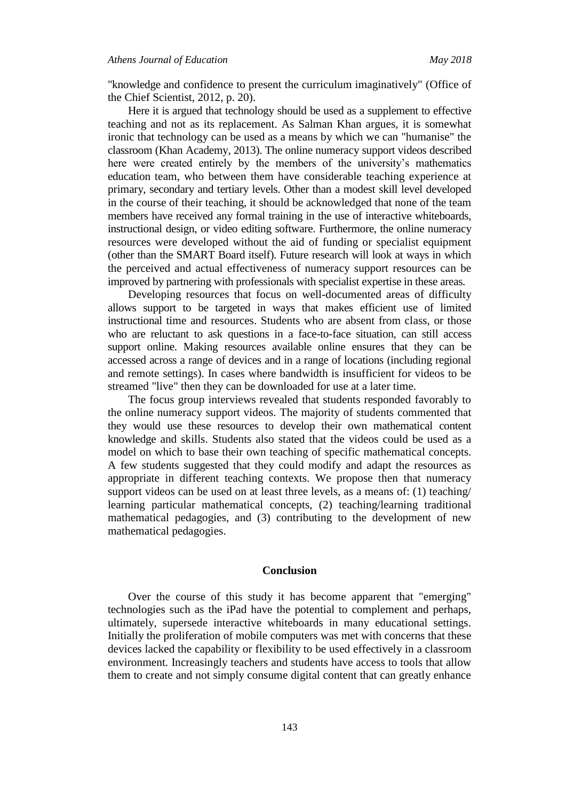"knowledge and confidence to present the curriculum imaginatively" (Office of the Chief Scientist, 2012, p. 20).

Here it is argued that technology should be used as a supplement to effective teaching and not as its replacement. As Salman Khan argues, it is somewhat ironic that technology can be used as a means by which we can "humanise" the classroom (Khan Academy, 2013). The online numeracy support videos described here were created entirely by the members of the university's mathematics education team, who between them have considerable teaching experience at primary, secondary and tertiary levels. Other than a modest skill level developed in the course of their teaching, it should be acknowledged that none of the team members have received any formal training in the use of interactive whiteboards, instructional design, or video editing software. Furthermore, the online numeracy resources were developed without the aid of funding or specialist equipment (other than the SMART Board itself). Future research will look at ways in which the perceived and actual effectiveness of numeracy support resources can be improved by partnering with professionals with specialist expertise in these areas.

Developing resources that focus on well-documented areas of difficulty allows support to be targeted in ways that makes efficient use of limited instructional time and resources. Students who are absent from class, or those who are reluctant to ask questions in a face-to-face situation, can still access support online. Making resources available online ensures that they can be accessed across a range of devices and in a range of locations (including regional and remote settings). In cases where bandwidth is insufficient for videos to be streamed "live" then they can be downloaded for use at a later time.

The focus group interviews revealed that students responded favorably to the online numeracy support videos. The majority of students commented that they would use these resources to develop their own mathematical content knowledge and skills. Students also stated that the videos could be used as a model on which to base their own teaching of specific mathematical concepts. A few students suggested that they could modify and adapt the resources as appropriate in different teaching contexts. We propose then that numeracy support videos can be used on at least three levels, as a means of: (1) teaching/ learning particular mathematical concepts, (2) teaching/learning traditional mathematical pedagogies, and (3) contributing to the development of new mathematical pedagogies.

## **Conclusion**

Over the course of this study it has become apparent that "emerging" technologies such as the iPad have the potential to complement and perhaps, ultimately, supersede interactive whiteboards in many educational settings. Initially the proliferation of mobile computers was met with concerns that these devices lacked the capability or flexibility to be used effectively in a classroom environment. Increasingly teachers and students have access to tools that allow them to create and not simply consume digital content that can greatly enhance